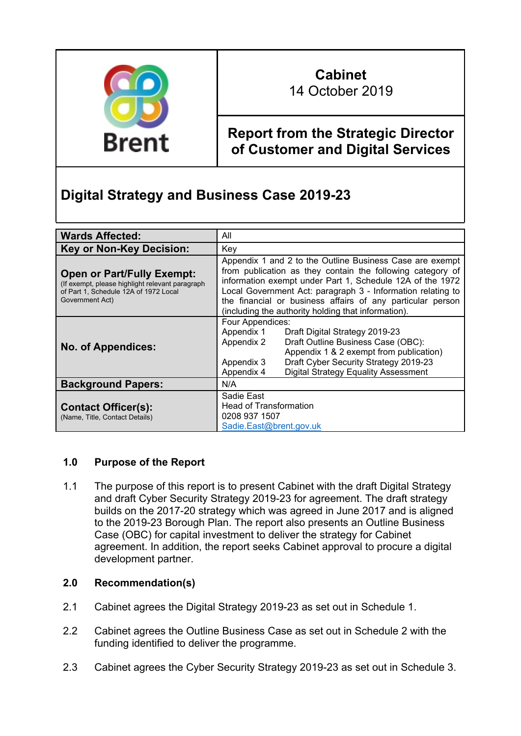

# **Cabinet** 14 October 2019

# **Report from the Strategic Director of Customer and Digital Services**

# **Digital Strategy and Business Case 2019-23**

| <b>Wards Affected:</b>                                                                                                                           | All                                                                                                                                                                                                                                                                                                                                                                     |  |  |  |  |  |  |  |
|--------------------------------------------------------------------------------------------------------------------------------------------------|-------------------------------------------------------------------------------------------------------------------------------------------------------------------------------------------------------------------------------------------------------------------------------------------------------------------------------------------------------------------------|--|--|--|--|--|--|--|
| <b>Key or Non-Key Decision:</b>                                                                                                                  | Key                                                                                                                                                                                                                                                                                                                                                                     |  |  |  |  |  |  |  |
| <b>Open or Part/Fully Exempt:</b><br>(If exempt, please highlight relevant paragraph<br>of Part 1, Schedule 12A of 1972 Local<br>Government Act) | Appendix 1 and 2 to the Outline Business Case are exempt<br>from publication as they contain the following category of<br>information exempt under Part 1, Schedule 12A of the 1972<br>Local Government Act: paragraph 3 - Information relating to<br>the financial or business affairs of any particular person<br>(including the authority holding that information). |  |  |  |  |  |  |  |
| <b>No. of Appendices:</b>                                                                                                                        | Four Appendices:<br>Appendix 1<br>Draft Digital Strategy 2019-23<br>Appendix 2<br>Draft Outline Business Case (OBC):<br>Appendix 1 & 2 exempt from publication)<br>Draft Cyber Security Strategy 2019-23<br>Appendix 3<br><b>Digital Strategy Equality Assessment</b><br>Appendix 4                                                                                     |  |  |  |  |  |  |  |
| <b>Background Papers:</b>                                                                                                                        | N/A                                                                                                                                                                                                                                                                                                                                                                     |  |  |  |  |  |  |  |
| <b>Contact Officer(s):</b><br>(Name, Title, Contact Details)                                                                                     | Sadie East<br><b>Head of Transformation</b><br>0208 937 1507<br>Sadie.East@brent.gov.uk                                                                                                                                                                                                                                                                                 |  |  |  |  |  |  |  |

# **1.0 Purpose of the Report**

1.1 The purpose of this report is to present Cabinet with the draft Digital Strategy and draft Cyber Security Strategy 2019-23 for agreement. The draft strategy builds on the 2017-20 strategy which was agreed in June 2017 and is aligned to the 2019-23 Borough Plan. The report also presents an Outline Business Case (OBC) for capital investment to deliver the strategy for Cabinet agreement. In addition, the report seeks Cabinet approval to procure a digital development partner.

# **2.0 Recommendation(s)**

- 2.1 Cabinet agrees the Digital Strategy 2019-23 as set out in Schedule 1.
- 2.2 Cabinet agrees the Outline Business Case as set out in Schedule 2 with the funding identified to deliver the programme.
- 2.3 Cabinet agrees the Cyber Security Strategy 2019-23 as set out in Schedule 3.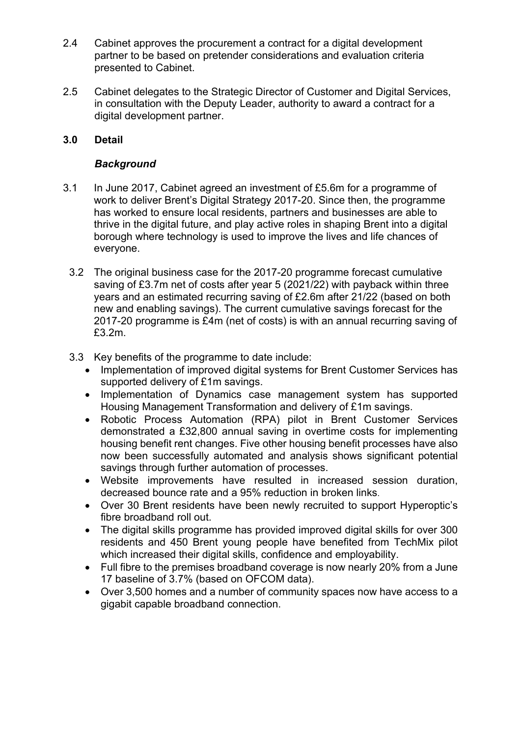- 2.4 Cabinet approves the procurement a contract for a digital development partner to be based on pretender considerations and evaluation criteria presented to Cabinet.
- 2.5 Cabinet delegates to the Strategic Director of Customer and Digital Services, in consultation with the Deputy Leader, authority to award a contract for a digital development partner.

## **3.0 Detail**

## *Background*

- 3.1 In June 2017, Cabinet agreed an investment of £5.6m for a programme of work to deliver Brent's Digital Strategy 2017-20. Since then, the programme has worked to ensure local residents, partners and businesses are able to thrive in the digital future, and play active roles in shaping Brent into a digital borough where technology is used to improve the lives and life chances of everyone.
	- 3.2 The original business case for the 2017-20 programme forecast cumulative saving of £3.7m net of costs after year 5 (2021/22) with payback within three years and an estimated recurring saving of £2.6m after 21/22 (based on both new and enabling savings). The current cumulative savings forecast for the 2017-20 programme is £4m (net of costs) is with an annual recurring saving of £3.2m.
	- 3.3 Key benefits of the programme to date include:
		- Implementation of improved digital systems for Brent Customer Services has supported delivery of £1m savings.
		- Implementation of Dynamics case management system has supported Housing Management Transformation and delivery of £1m savings.
		- Robotic Process Automation (RPA) pilot in Brent Customer Services demonstrated a £32,800 annual saving in overtime costs for implementing housing benefit rent changes. Five other housing benefit processes have also now been successfully automated and analysis shows significant potential savings through further automation of processes.
		- Website improvements have resulted in increased session duration, decreased bounce rate and a 95% reduction in broken links.
		- Over 30 Brent residents have been newly recruited to support Hyperoptic's fibre broadband roll out.
		- The digital skills programme has provided improved digital skills for over 300 residents and 450 Brent young people have benefited from TechMix pilot which increased their digital skills, confidence and employability.
		- Full fibre to the premises broadband coverage is now nearly 20% from a June 17 baseline of 3.7% (based on OFCOM data).
		- Over 3,500 homes and a number of community spaces now have access to a gigabit capable broadband connection.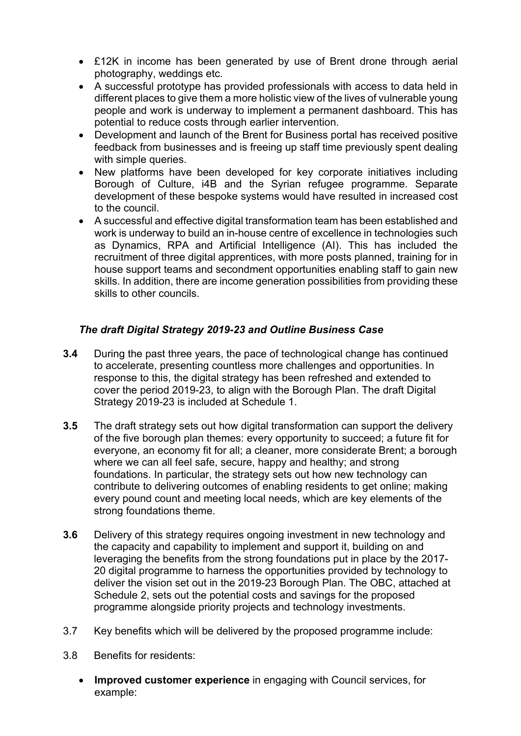- £12K in income has been generated by use of Brent drone through aerial photography, weddings etc.
- A successful prototype has provided professionals with access to data held in different places to give them a more holistic view of the lives of vulnerable young people and work is underway to implement a permanent dashboard. This has potential to reduce costs through earlier intervention.
- Development and launch of the Brent for Business portal has received positive feedback from businesses and is freeing up staff time previously spent dealing with simple queries.
- New platforms have been developed for key corporate initiatives including Borough of Culture, i4B and the Syrian refugee programme. Separate development of these bespoke systems would have resulted in increased cost to the council.
- A successful and effective digital transformation team has been established and work is underway to build an in-house centre of excellence in technologies such as Dynamics, RPA and Artificial Intelligence (AI). This has included the recruitment of three digital apprentices, with more posts planned, training for in house support teams and secondment opportunities enabling staff to gain new skills. In addition, there are income generation possibilities from providing these skills to other councils.

# *The draft Digital Strategy 2019-23 and Outline Business Case*

- **3.4** During the past three years, the pace of technological change has continued to accelerate, presenting countless more challenges and opportunities. In response to this, the digital strategy has been refreshed and extended to cover the period 2019-23, to align with the Borough Plan. The draft Digital Strategy 2019-23 is included at Schedule 1.
- **3.5** The draft strategy sets out how digital transformation can support the delivery of the five borough plan themes: every opportunity to succeed; a future fit for everyone, an economy fit for all; a cleaner, more considerate Brent; a borough where we can all feel safe, secure, happy and healthy; and strong foundations. In particular, the strategy sets out how new technology can contribute to delivering outcomes of enabling residents to get online; making every pound count and meeting local needs, which are key elements of the strong foundations theme.
- **3.6** Delivery of this strategy requires ongoing investment in new technology and the capacity and capability to implement and support it, building on and leveraging the benefits from the strong foundations put in place by the 2017- 20 digital programme to harness the opportunities provided by technology to deliver the vision set out in the 2019-23 Borough Plan. The OBC, attached at Schedule 2, sets out the potential costs and savings for the proposed programme alongside priority projects and technology investments.
- 3.7 Key benefits which will be delivered by the proposed programme include:
- 3.8 Benefits for residents:
	- **Improved customer experience** in engaging with Council services, for example: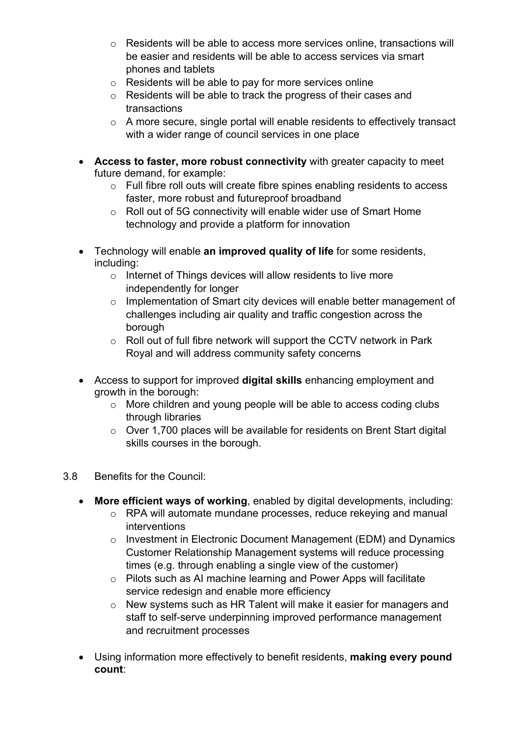- o Residents will be able to access more services online, transactions will be easier and residents will be able to access services via smart phones and tablets
- o Residents will be able to pay for more services online
- o Residents will be able to track the progress of their cases and transactions
- o A more secure, single portal will enable residents to effectively transact with a wider range of council services in one place
- **Access to faster, more robust connectivity** with greater capacity to meet future demand, for example:
	- o Full fibre roll outs will create fibre spines enabling residents to access faster, more robust and futureproof broadband
	- o Roll out of 5G connectivity will enable wider use of Smart Home technology and provide a platform for innovation
- Technology will enable **an improved quality of life** for some residents, including:
	- $\circ$  Internet of Things devices will allow residents to live more independently for longer
	- o Implementation of Smart city devices will enable better management of challenges including air quality and traffic congestion across the borough
	- o Roll out of full fibre network will support the CCTV network in Park Royal and will address community safety concerns
- Access to support for improved **digital skills** enhancing employment and growth in the borough:
	- o More children and young people will be able to access coding clubs through libraries
	- o Over 1,700 places will be available for residents on Brent Start digital skills courses in the borough.
- 3.8 Benefits for the Council:
	- **More efficient ways of working**, enabled by digital developments, including:
		- o RPA will automate mundane processes, reduce rekeying and manual interventions
		- o Investment in Electronic Document Management (EDM) and Dynamics Customer Relationship Management systems will reduce processing times (e.g. through enabling a single view of the customer)
		- o Pilots such as AI machine learning and Power Apps will facilitate service redesign and enable more efficiency
		- o New systems such as HR Talent will make it easier for managers and staff to self-serve underpinning improved performance management and recruitment processes
	- Using information more effectively to benefit residents, **making every pound count**: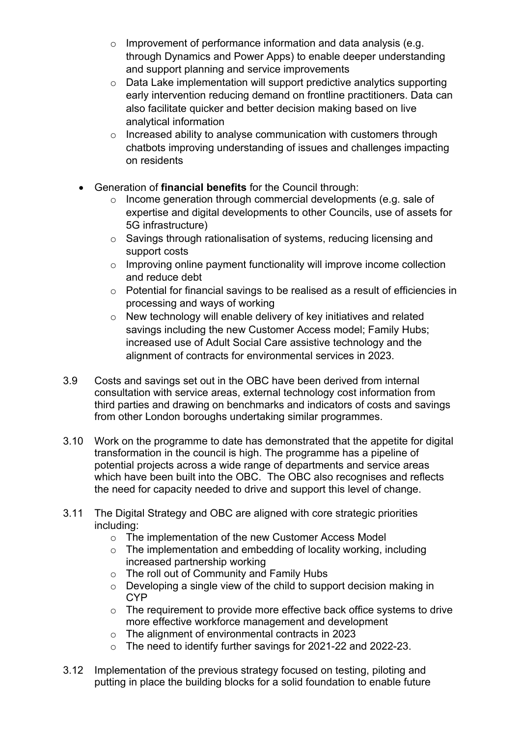- o Improvement of performance information and data analysis (e.g. through Dynamics and Power Apps) to enable deeper understanding and support planning and service improvements
- o Data Lake implementation will support predictive analytics supporting early intervention reducing demand on frontline practitioners. Data can also facilitate quicker and better decision making based on live analytical information
- $\circ$  Increased ability to analyse communication with customers through chatbots improving understanding of issues and challenges impacting on residents
- Generation of **financial benefits** for the Council through:
	- o Income generation through commercial developments (e.g. sale of expertise and digital developments to other Councils, use of assets for 5G infrastructure)
	- o Savings through rationalisation of systems, reducing licensing and support costs
	- o Improving online payment functionality will improve income collection and reduce debt
	- o Potential for financial savings to be realised as a result of efficiencies in processing and ways of working
	- o New technology will enable delivery of key initiatives and related savings including the new Customer Access model; Family Hubs; increased use of Adult Social Care assistive technology and the alignment of contracts for environmental services in 2023.
- 3.9 Costs and savings set out in the OBC have been derived from internal consultation with service areas, external technology cost information from third parties and drawing on benchmarks and indicators of costs and savings from other London boroughs undertaking similar programmes.
- 3.10 Work on the programme to date has demonstrated that the appetite for digital transformation in the council is high. The programme has a pipeline of potential projects across a wide range of departments and service areas which have been built into the OBC. The OBC also recognises and reflects the need for capacity needed to drive and support this level of change.
- 3.11 The Digital Strategy and OBC are aligned with core strategic priorities including:
	- o The implementation of the new Customer Access Model
	- $\circ$  The implementation and embedding of locality working, including increased partnership working
	- o The roll out of Community and Family Hubs
	- o Developing a single view of the child to support decision making in **CYP**
	- o The requirement to provide more effective back office systems to drive more effective workforce management and development
	- o The alignment of environmental contracts in 2023
	- o The need to identify further savings for 2021-22 and 2022-23.
- 3.12 Implementation of the previous strategy focused on testing, piloting and putting in place the building blocks for a solid foundation to enable future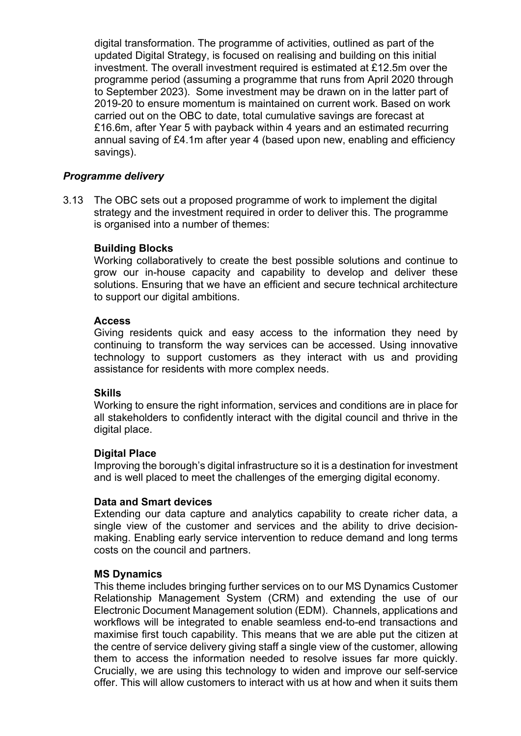digital transformation. The programme of activities, outlined as part of the updated Digital Strategy, is focused on realising and building on this initial investment. The overall investment required is estimated at £12.5m over the programme period (assuming a programme that runs from April 2020 through to September 2023). Some investment may be drawn on in the latter part of 2019-20 to ensure momentum is maintained on current work. Based on work carried out on the OBC to date, total cumulative savings are forecast at £16.6m, after Year 5 with payback within 4 years and an estimated recurring annual saving of £4.1m after year 4 (based upon new, enabling and efficiency savings).

### *Programme delivery*

3.13 The OBC sets out a proposed programme of work to implement the digital strategy and the investment required in order to deliver this. The programme is organised into a number of themes:

### **Building Blocks**

Working collaboratively to create the best possible solutions and continue to grow our in-house capacity and capability to develop and deliver these solutions. Ensuring that we have an efficient and secure technical architecture to support our digital ambitions.

#### **Access**

Giving residents quick and easy access to the information they need by continuing to transform the way services can be accessed. Using innovative technology to support customers as they interact with us and providing assistance for residents with more complex needs.

#### **Skills**

Working to ensure the right information, services and conditions are in place for all stakeholders to confidently interact with the digital council and thrive in the digital place.

#### **Digital Place**

Improving the borough's digital infrastructure so it is a destination for investment and is well placed to meet the challenges of the emerging digital economy.

#### **Data and Smart devices**

Extending our data capture and analytics capability to create richer data, a single view of the customer and services and the ability to drive decisionmaking. Enabling early service intervention to reduce demand and long terms costs on the council and partners.

#### **MS Dynamics**

This theme includes bringing further services on to our MS Dynamics Customer Relationship Management System (CRM) and extending the use of our Electronic Document Management solution (EDM). Channels, applications and workflows will be integrated to enable seamless end-to-end transactions and maximise first touch capability. This means that we are able put the citizen at the centre of service delivery giving staff a single view of the customer, allowing them to access the information needed to resolve issues far more quickly. Crucially, we are using this technology to widen and improve our self-service offer. This will allow customers to interact with us at how and when it suits them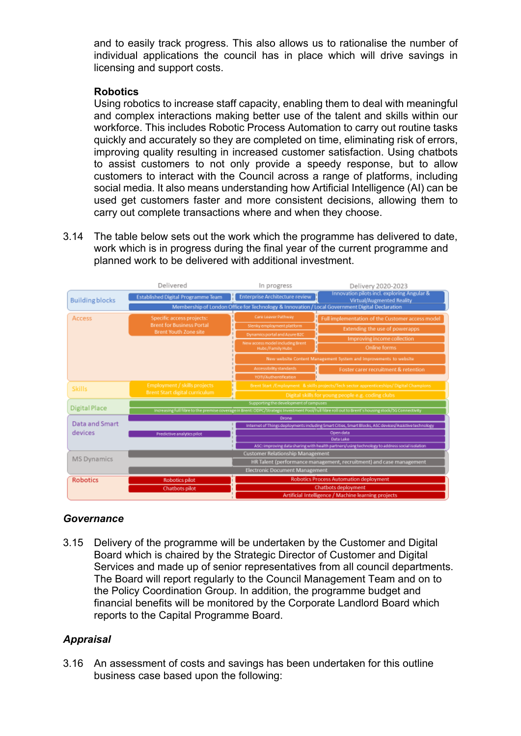and to easily track progress. This also allows us to rationalise the number of individual applications the council has in place which will drive savings in licensing and support costs.

## **Robotics**

Using robotics to increase staff capacity, enabling them to deal with meaningful and complex interactions making better use of the talent and skills within our workforce. This includes Robotic Process Automation to carry out routine tasks quickly and accurately so they are completed on time, eliminating risk of errors, improving quality resulting in increased customer satisfaction. Using chatbots to assist customers to not only provide a speedy response, but to allow customers to interact with the Council across a range of platforms, including social media. It also means understanding how Artificial Intelligence (AI) can be used get customers faster and more consistent decisions, allowing them to carry out complete transactions where and when they choose.

3.14 The table below sets out the work which the programme has delivered to date, work which is in progress during the final year of the current programme and planned work to be delivered with additional investment.



## *Governance*

3.15 Delivery of the programme will be undertaken by the Customer and Digital Board which is chaired by the Strategic Director of Customer and Digital Services and made up of senior representatives from all council departments. The Board will report regularly to the Council Management Team and on to the Policy Coordination Group. In addition, the programme budget and financial benefits will be monitored by the Corporate Landlord Board which reports to the Capital Programme Board.

## *Appraisal*

3.16 An assessment of costs and savings has been undertaken for this outline business case based upon the following: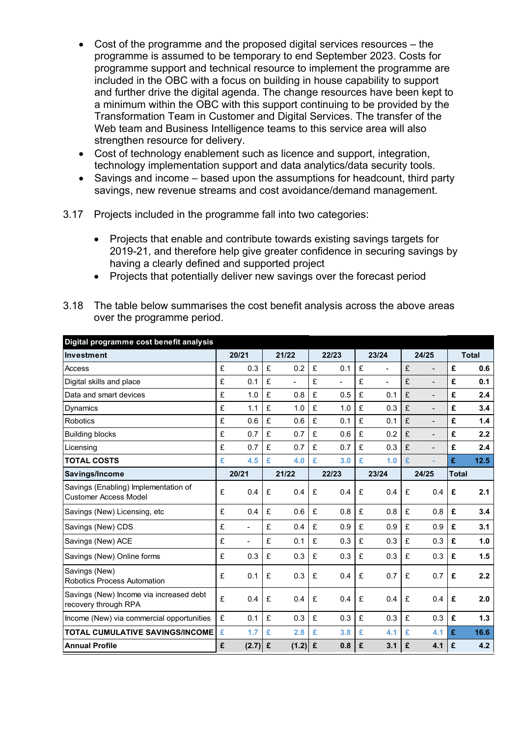- Cost of the programme and the proposed digital services resources the programme is assumed to be temporary to end September 2023. Costs for programme support and technical resource to implement the programme are included in the OBC with a focus on building in house capability to support and further drive the digital agenda. The change resources have been kept to a minimum within the OBC with this support continuing to be provided by the Transformation Team in Customer and Digital Services. The transfer of the Web team and Business Intelligence teams to this service area will also strengthen resource for delivery.
- Cost of technology enablement such as licence and support, integration, technology implementation support and data analytics/data security tools.
- Savings and income based upon the assumptions for headcount, third party savings, new revenue streams and cost avoidance/demand management.
- 3.17 Projects included in the programme fall into two categories:
	- Projects that enable and contribute towards existing savings targets for 2019-21, and therefore help give greater confidence in securing savings by having a clearly defined and supported project
	- Projects that potentially deliver new savings over the forecast period

| Digital programme cost benefit analysis                              |       |                          |       |                |       |                |       |       |       |                   |              |      |
|----------------------------------------------------------------------|-------|--------------------------|-------|----------------|-------|----------------|-------|-------|-------|-------------------|--------------|------|
| Investment                                                           | 20/21 |                          | 21/22 |                | 22/23 |                | 23/24 |       | 24/25 |                   | <b>Total</b> |      |
| Access                                                               | £     | 0.3                      | £     | 0.2            | £     | 0.1            | £     |       | £     |                   | £            | 0.6  |
| Digital skills and place                                             | £     | 0.1                      | £     | $\blacksquare$ | £     | $\overline{a}$ | £     | ä,    | £     |                   | £            | 0.1  |
| Data and smart devices                                               | £     | 1.0                      | £     | 0.8            | £     | 0.5            | £     | 0.1   | £     | L,                | £            | 2.4  |
| Dynamics                                                             | £     | 1.1                      | £     | 1.0            | £     | 1.0            | £     | 0.3   | £     | $\qquad \qquad -$ | £            | 3.4  |
| Robotics                                                             | £     | 0.6                      | £     | 0.6            | £     | 0.1            | £     | 0.1   | £     | $\qquad \qquad -$ | £            | 1.4  |
| <b>Building blocks</b>                                               | £     | 0.7                      | £     | 0.7            | £     | 0.6            | £     | 0.2   | £     | $\blacksquare$    | £            | 2.2  |
| Licensing                                                            | £     | 0.7                      | £     | 0.7            | £     | 0.7            | £     | 0.3   | £     | $\blacksquare$    | £            | 2.4  |
| <b>TOTAL COSTS</b>                                                   | £     | 4.5                      | £     | 4.0            | £     | 3.0            | £     | 1.0   | £     | ×                 | £            | 12.5 |
| Savings/Income                                                       |       | 20/21                    |       | 21/22          |       | 22/23          |       | 23/24 |       | 24/25             | <b>Total</b> |      |
| Savings (Enabling) Implementation of<br><b>Customer Access Model</b> | £     | 0.4                      | £     | 0.4            | £     | 0.4            | £     | 0.4   | £     | 0.4               | £            | 2.1  |
| Savings (New) Licensing, etc                                         | £     | 0.4                      | £     | 0.6            | £     | 0.8            | £     | 0.8   | £     | 0.8               | £            | 3.4  |
| Savings (New) CDS                                                    | £     | ä,                       | £     | 0.4            | £     | 0.9            | £     | 0.9   | £     | 0.9               | £            | 3.1  |
| Savings (New) ACE                                                    | £     | $\overline{\phantom{0}}$ | £     | 0.1            | £     | 0.3            | £     | 0.3   | £     | 0.3               | £            | 1.0  |
| Savings (New) Online forms                                           | £     | 0.3                      | £     | 0.3            | £     | 0.3            | £     | 0.3   | £     | 0.3               | £            | 1.5  |
| Savings (New)<br>Robotics Process Automation                         | £     | 0.1                      | £     | 0.3            | £     | 0.4            | £     | 0.7   | £     | 0.7               | £            | 2.2  |
| Savings (New) Income via increased debt<br>recovery through RPA      | £     | 0.4                      | £     | 0.4            | £     | 0.4            | £     | 0.4   | £     | 0.4               | £            | 2.0  |
| Income (New) via commercial opportunities                            | £     | 0.1                      | £     | 0.3            | £     | 0.3            | £     | 0.3   | £     | 0.3               | £            | 1.3  |
| <b>TOTAL CUMULATIVE SAVINGS/INCOME</b>                               | £     | 1.7                      | £     | 2.8            | £     | 3.8            | £     | 4.1   | £     | 4.1               | £            | 16.6 |
| <b>Annual Profile</b>                                                | £     | $(2.7)$ £                |       | $(1.2)$ £      |       | 0.8            | £     | 3.1   | £     | 4.1               | £            | 4.2  |

3.18 The table below summarises the cost benefit analysis across the above areas over the programme period.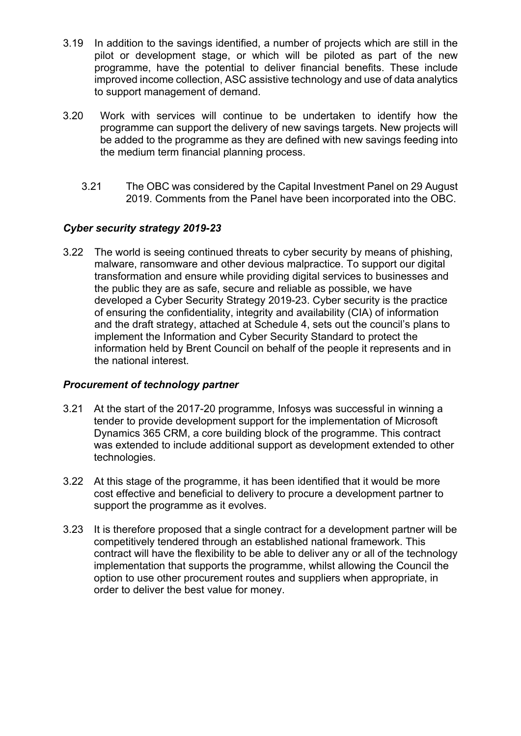- 3.19 In addition to the savings identified, a number of projects which are still in the pilot or development stage, or which will be piloted as part of the new programme, have the potential to deliver financial benefits. These include improved income collection, ASC assistive technology and use of data analytics to support management of demand.
- 3.20 Work with services will continue to be undertaken to identify how the programme can support the delivery of new savings targets. New projects will be added to the programme as they are defined with new savings feeding into the medium term financial planning process.
	- 3.21 The OBC was considered by the Capital Investment Panel on 29 August 2019. Comments from the Panel have been incorporated into the OBC.

# *Cyber security strategy 2019-23*

3.22 The world is seeing continued threats to cyber security by means of phishing, malware, ransomware and other devious malpractice. To support our digital transformation and ensure while providing digital services to businesses and the public they are as safe, secure and reliable as possible, we have developed a Cyber Security Strategy 2019-23. Cyber security is the practice of ensuring the confidentiality, integrity and availability (CIA) of information and the draft strategy, attached at Schedule 4, sets out the council's plans to implement the Information and Cyber Security Standard to protect the information held by Brent Council on behalf of the people it represents and in the national interest.

## *Procurement of technology partner*

- 3.21 At the start of the 2017-20 programme, Infosys was successful in winning a tender to provide development support for the implementation of Microsoft Dynamics 365 CRM, a core building block of the programme. This contract was extended to include additional support as development extended to other technologies.
- 3.22 At this stage of the programme, it has been identified that it would be more cost effective and beneficial to delivery to procure a development partner to support the programme as it evolves.
- 3.23 It is therefore proposed that a single contract for a development partner will be competitively tendered through an established national framework. This contract will have the flexibility to be able to deliver any or all of the technology implementation that supports the programme, whilst allowing the Council the option to use other procurement routes and suppliers when appropriate, in order to deliver the best value for money.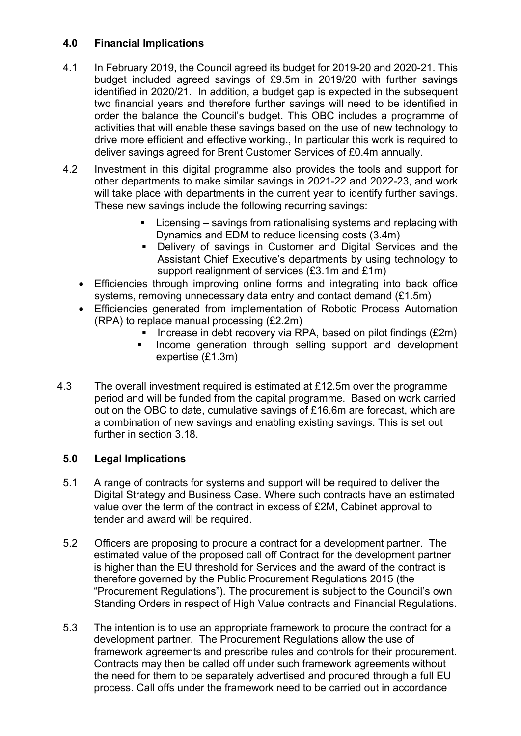# **4.0 Financial Implications**

- 4.1 In February 2019, the Council agreed its budget for 2019-20 and 2020-21. This budget included agreed savings of £9.5m in 2019/20 with further savings identified in 2020/21. In addition, a budget gap is expected in the subsequent two financial years and therefore further savings will need to be identified in order the balance the Council's budget. This OBC includes a programme of activities that will enable these savings based on the use of new technology to drive more efficient and effective working., In particular this work is required to deliver savings agreed for Brent Customer Services of £0.4m annually.
- 4.2 Investment in this digital programme also provides the tools and support for other departments to make similar savings in 2021-22 and 2022-23, and work will take place with departments in the current year to identify further savings. These new savings include the following recurring savings:
	- Licensing savings from rationalising systems and replacing with Dynamics and EDM to reduce licensing costs (3.4m)
	- Delivery of savings in Customer and Digital Services and the Assistant Chief Executive's departments by using technology to support realignment of services (£3.1m and £1m)
	- Efficiencies through improving online forms and integrating into back office systems, removing unnecessary data entry and contact demand (£1.5m)
	- Efficiencies generated from implementation of Robotic Process Automation (RPA) to replace manual processing (£2.2m)
		- Increase in debt recovery via RPA, based on pilot findings  $(E2m)$
		- Income generation through selling support and development expertise (£1.3m)
- 4.3 The overall investment required is estimated at £12.5m over the programme period and will be funded from the capital programme. Based on work carried out on the OBC to date, cumulative savings of £16.6m are forecast, which are a combination of new savings and enabling existing savings. This is set out further in section 3.18.

# **5.0 Legal Implications**

- 5.1 A range of contracts for systems and support will be required to deliver the Digital Strategy and Business Case. Where such contracts have an estimated value over the term of the contract in excess of £2M, Cabinet approval to tender and award will be required.
- 5.2 Officers are proposing to procure a contract for a development partner. The estimated value of the proposed call off Contract for the development partner is higher than the EU threshold for Services and the award of the contract is therefore governed by the Public Procurement Regulations 2015 (the "Procurement Regulations"). The procurement is subject to the Council's own Standing Orders in respect of High Value contracts and Financial Regulations.
- 5.3 The intention is to use an appropriate framework to procure the contract for a development partner. The Procurement Regulations allow the use of framework agreements and prescribe rules and controls for their procurement. Contracts may then be called off under such framework agreements without the need for them to be separately advertised and procured through a full EU process. Call offs under the framework need to be carried out in accordance